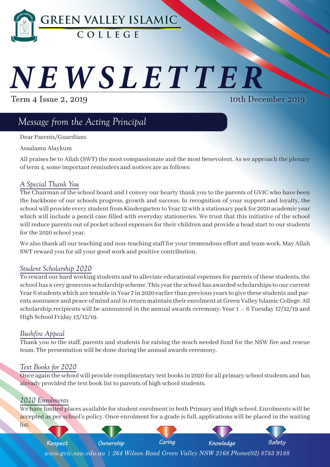

# I CTT *NEWSLETTER*

Term 4 Issue 2, 2019

10th December 2019

# *Message from the Acting Principal*

Dear Parents/Guardians

Assalamu Alaykum

All praises be to Allah (SWT) the most compassionate and the most benevolent. As we approach the plenary of term 4, some important reminders and notices are as follows:

#### *A Special Thank You*

The Chairman of the school board and I convey our hearty thank you to the parents of GVIC who have been the backbone of our schools progress, growth and success. In recognition of your support and loyalty, the school will provide every student from Kindergarten to Year 12 with a stationary pack for 2020 academic year which will include a pencil case filled with everyday stationeries. We trust that this initiative of the school will reduce parents out of pocket school expenses for their children and provide a head start to our students for the 2020 school year.

We also thank all our teaching and non-teaching staff for your tremendous effort and team work. May Allah SWT reward you for all your good work and positive contribution.

#### *Student Scholarship 2020*

To reward our hard working students and to alleviate educational expenses for parents of these students, the school has a very generous scholarship scheme. This year the school has awarded scholarships to our current Year 6 students which are tenable in Year 7 in 2020 earlier than previous years to give these students and parents assurance and peace of mind and in return maintain their enrolment at Green Valley Islamic College. All scholarship recipients will be announced in the annual awards ceremony; Year  $1 - 6$  Tuesday  $17/12/19$  and High School Friday 13/12/19.

#### *Bushfire Appeal*

Thank you to the staff, parents and students for raising the much needed fund for the NSW fire and rescue team. The presentation will be done during the annual awards ceremony.

#### *Text Books for 2020*

Once again the school will provide complimentary text books in 2020 for all primary school students and has already provided the text book list to parents of high school students.

#### *2020 Enrolments*

We have limited places available for student enrolment in both Primary and High school. Enrolments will be accepted as per school's policy. Once enrolment for a grade is full, applications will be placed in the waiting list.

*Green Valley Islamic College Newsletter 1* **AL NOOR - Dhu al-Hijjah 1** *www.gvic.nsw.edu.au | 264 Wilson Road Green Valley NSW 2168 Phone(02) 8783 9188 Respect Ownership Caring Knowledge Safety*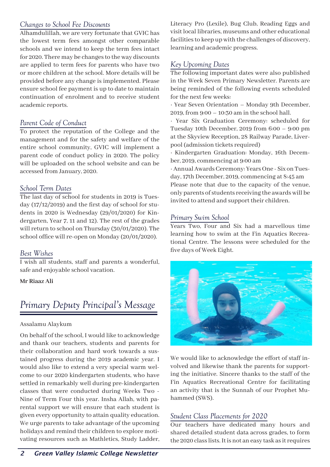### *Changes to School Fee Discounts*

Alhamdulillah, we are very fortunate that GVIC has the lowest term fees amongst other comparable schools and we intend to keep the term fees intact for 2020. There may be changes to the way discounts are applied to term fees for parents who have two or more children at the school. More details will be provided before any change is implemented. Please ensure school fee payment is up to date to maintain continuation of enrolment and to receive student academic reports.

### *Parent Code of Conduct*

To protect the reputation of the College and the management and for the safety and welfare of the entire school community, GVIC will implement a parent code of conduct policy in 2020. The policy will be uploaded on the school website and can be accessed from January, 2020.

#### *School Term Dates*

The last day of school for students in 2019 is Tuesday (17/12/2019) and the first day of school for students in 2020 is Wednesday (29/01/2020) for Kindergarten, Year 7, 11 and 12). The rest of the grades will return to school on Thursday (30/01/2020). The school office will re-open on Monday (20/01/2020).

#### *Best Wishes*

I wish all students, staff and parents a wonderful, safe and enjoyable school vacation.

**Mr Riaaz Ali**

# *Primary Deputy Principal's Message*

#### Assalamu Alaykum

On behalf of the school, I would like to acknowledge and thank our teachers, students and parents for their collaboration and hard work towards a sustained progress during the 2019 academic year. I would also like to extend a very special warm welcome to our 2020 kindergarten students, who have settled in remarkably well during pre-kindergarten classes that were conducted during Weeks Two - Nine of Term Four this year. Insha Allah, with parental support we will ensure that each student is given every opportunity to attain quality education. We urge parents to take advantage of the upcoming holidays and remind their children to explore motivating resources such as Mathletics, Study Ladder,

Literacy Pro (Lexile), Bug Club, Reading Eggs and visit local libraries, museums and other educational facilities to keep up with the challenges of discovery, learning and academic progress.

### *Key Upcoming Dates*

The following important dates were also published in the Week Seven Primary Newsletter. Parents are being reminded of the following events scheduled for the next few weeks:

· Year Seven Orientation – Monday 9th December, 2019, from 9:00 – 10:30 am in the school hall.

· Year Six Graduation Ceremony: scheduled for Tuesday 10th December, 2019 from 6:00 – 9:00 pm at the Skyview Reception, 28 Railway Parade, Liverpool (admission tickets required)

· Kindergarten Graduation: Monday, 16th December, 2019, commencing at 9:00 am

· Annual Awards Ceremony: Years One - Six on Tuesday, 17th December, 2019, commencing at 8:45 am Please note that due to the capacity of the venue, only parents of students receiving the awards will be invited to attend and support their children.

#### *Primary Swim School*

Years Two, Four and Six had a marvellous time learning how to swim at the Fin Aquatics Recreational Centre. The lessons were scheduled for the five days of Week Eight.



We would like to acknowledge the effort of staff involved and likewise thank the parents for supporting the initiative. Sincere thanks to the staff of the Fin Aquatics Recreational Centre for facilitating an activity that is the Sunnah of our Prophet Muhammed (SWS).

### *Student Class Placements for 2020*

Our teachers have dedicated many hours and shared detailed student data across grades, to form the 2020 class lists. It is not an easy task as it requires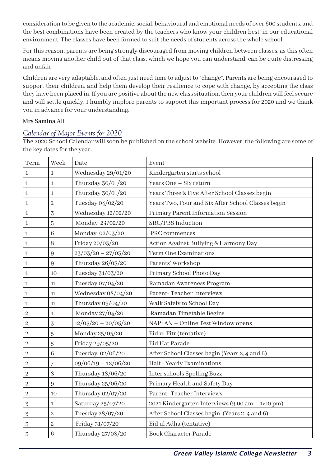consideration to be given to the academic, social, behavioural and emotional needs of over 600 students, and the best combinations have been created by the teachers who know your children best, in our educational environment. The classes have been formed to suit the needs of students across the whole school.

For this reason, parents are being strongly discouraged from moving children between classes, as this often means moving another child out of that class, which we hope you can understand, can be quite distressing and unfair.

Children are very adaptable, and often just need time to adjust to "change". Parents are being encouraged to support their children, and help them develop their resilience to cope with change, by accepting the class they have been placed in. If you are positive about the new class situation, then your children will feel secure and will settle quickly. I humbly implore parents to support this important process for 2020 and we thank you in advance for your understanding.

#### **Mrs Samina Ali**

#### *Calendar of Major Events for 2020*

The 2020 School Calendar will soon be published on the school website. However, the following are some of the key dates for the year:

| Term             | Week           | Date                  | Event                                              |
|------------------|----------------|-----------------------|----------------------------------------------------|
| $\mathbf 1$      | $\mathbf{1}$   | Wednesday 29/01/20    | Kindergarten starts school                         |
| $\,1\,$          | $\mathbf{1}$   | Thursday 30/01/20     | Years One - Six return                             |
| $\mathbf 1$      | $\mathbf{1}$   | Thursday 30/01/20     | Years Three & Five After School Classes begin      |
| $\mathbf{1}$     | $\overline{2}$ | Tuesday 04/02/20      | Years Two, Four and Six After School Classes begin |
| $\mathbf 1$      | 3              | Wednesday 12/02/20    | Primary Parent Information Session                 |
| $\mathbf{1}$     | $\overline{5}$ | Monday 24/02/20       | SRC/PBS Induction                                  |
| $\mathbf{1}$     | 6              | Monday 02/03/20       | PRC commences                                      |
| $\,1\,$          | 8              | Friday 20/03/20       | Action Against Bullying & Harmony Day              |
| $\mathbf 1$      | 9              | $23/03/20 - 27/03/20$ | <b>Term One Examinations</b>                       |
| $\mathbf 1$      | 9              | Thursday 26/03/20     | Parents' Workshop                                  |
| $\mathbf{1}$     | 10             | Tuesday 31/03/20      | Primary School Photo Day                           |
| $\mathbf 1$      | 11             | Tuesday 07/04/20      | Ramadan Awareness Program                          |
| $\mathbf 1$      | 11             | Wednesday 08/04/20    | Parent-Teacher Interviews                          |
| $\mathbf 1$      | 11             | Thursday 09/04/20     | Walk Safely to School Day                          |
| $\boldsymbol{2}$ | $\mathbf 1$    | Monday 27/04/20       | Ramadan Timetable Begins                           |
| $\overline{c}$   | $\overline{3}$ | $12/05/20 - 20/05/20$ | NAPLAN - Online Test Window opens                  |
| $\sqrt{2}$       | $\overline{5}$ | Monday 25/05/20       | Eid ul Fitr (tentative)                            |
| $\overline{2}$   | $\overline{5}$ | Friday 29/05/20       | Eid Hat Parade                                     |
| $\boldsymbol{2}$ | 6              | Tuesday 02/06/20      | After School Classes begin (Years 2, 4 and 6)      |
| $\sqrt{2}$       | $\overline{7}$ | $09/06/19 - 12/06/20$ | Half - Yearly Examinations                         |
| $\overline{2}$   | 8              | Thursday 18/06/20     | Inter schools Spelling Buzz                        |
| $\overline{c}$   | 9              | Thursday 25/06/20     | Primary Health and Safety Day                      |
| $\sqrt{2}$       | 10             | Thursday 02/07/20     | Parent-Teacher Interviews                          |
| $\overline{3}$   | $\mathbf{1}$   | Saturday 25/07/20     | 2021 Kindergarten Interviews (9:00 am - 1:00 pm)   |
| $\overline{3}$   | $\overline{2}$ | Tuesday 28/07/20      | After School Classes begin (Years 2, 4 and 6)      |
| $\overline{3}$   | $\overline{2}$ | Friday 31/07/20       | Eid ul Adha (tentative)                            |
| 3                | 6              | Thursday 27/08/20     | <b>Book Character Parade</b>                       |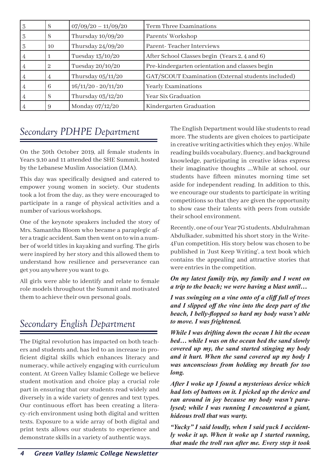| 3 | 8  | $07/09/20 - 11/09/20$ | Term Three Examinations                            |
|---|----|-----------------------|----------------------------------------------------|
| 3 | 8  | Thursday $10/09/20$   | Parents' Workshop                                  |
| 3 | 10 | Thursday $24/09/20$   | Parent-Teacher Interviews                          |
| 4 |    | Tuesday 13/10/20      | After School Classes begin (Years 2, 4 and 6)      |
| 4 | 2  | Tuesday 20/10/20      | Pre-kindergarten orientation and classes begin     |
| 4 | 4  | Thursday $05/11/20$   | GAT/SCOUT Examination (External students included) |
| 4 | 6  | $16/11/20 - 20/11/20$ | <b>Yearly Examinations</b>                         |
| 4 | 8  | Thursday $03/12/20$   | Year Six Graduation                                |
| 4 | 9  | Monday 07/12/20       | Kindergarten Graduation                            |

### *Secondary PDHPE Department*

On the 30th October 2019, all female students in Years 9,10 and 11 attended the SHE Summit, hosted by the Lebanese Muslim Association (LMA).

This day was specifically designed and catered to empower young women in society. Our students took a lot from the day, as they were encouraged to participate in a range of physical activities and a number of various workshops.

One of the keynote speakers included the story of Mrs. Samantha Bloom who became a paraplegic after a tragic accident. Sam then went on to win a number of world titles in kayaking and surfing. The girls were inspired by her story and this allowed them to understand how resilience and perseverance can get you anywhere you want to go.

All girls were able to identify and relate to female role models throughout the Summit and motivated them to achieve their own personal goals.

# *Secondary English Department*

The Digital revolution has impacted on both teachers and students and, has led to an increase in proficient digital skills which enhances literacy and numeracy, while actively engaging with curriculum content. At Green Valley Islamic College we believe student motivation and choice play a crucial role part in ensuring that our students read widely and diversely in a wide variety of genres and text types. Our continuous effort has been creating a literacy-rich environment using both digital and written texts. Exposure to a wide array of both digital and print texts allows our students to experience and demonstrate skills in a variety of authentic ways.

The English Department would like students to read more. The students are given choices to participate in creative writing activities which they enjoy. While reading builds vocabulary, fluency, and background knowledge, participating in creative ideas express their imaginative thoughts ….While at school, our students have fifteen minutes morning time set aside for independent reading. In addition to this, we encourage our students to participate in writing competitions so that they are given the opportunity to show case their talents with peers from outside their school environment.

Recently, one of our Year 7G students, Abdulrahman Abdulkader, submitted his short story in the Write-4Fun competition. His story below was chosen to be published in 'Just Keep Writing', a text book which contains the appealing and attractive stories that were entries in the competition.

#### *On my latest family trip, my family and I went on a trip to the beach; we were having a blast until…*

*I was swinging on a vine onto of a cliff full of trees and I slipped off the vine into the deep part of the beach, I belly-flopped so hard my body wasn't able to move. I was frightened.*

*While I was drifting down the ocean I hit the ocean bed… while I was on the ocean bed the sand slowly covered up my, the sand started stinging my body and it hurt. When the sand covered up my body I was unconscious from holding my breath for too long.*

*After I woke up I found a mysterious device which had lots of buttons on it. I picked up the device and ran around in joy because my body wasn't paralysed; while I was running I encountered a giant, hideous troll that was warty.*

*"Yucky" I said loudly, when I said yuck I accidently woke it up. When it woke up I started running, that made the troll run after me. Every step it took*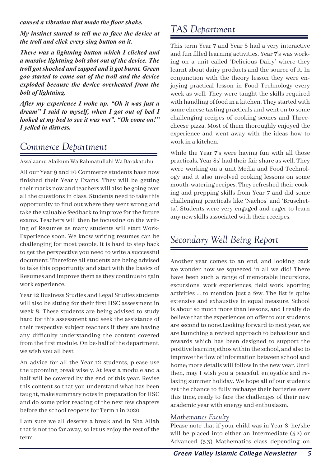*caused a vibration that made the floor shake.*

*My instinct started to tell me to face the device at the troll and click every sing button on it.*

*There was a lightning button which I clicked and a massive lightning bolt shot out of the device. The troll got shocked and zapped and it got burnt. Green goo started to come out of the troll and the device exploded because the device overheated from the bolt of lightning.*

*After my experience I woke up. "Oh it was just a dream" I said to myself, when I got out of bed I looked at my bed to see it was wet". "Oh come on!" I yelled in distress.*

# *Commerce Department*

Assalaamu Alaikum Wa Rahmatullahi Wa Barakatuhu

All our Year 9 and 10 Commerce students have now finished their Yearly Exams. They will be getting their marks now and teachers will also be going over all the questions in class. Students need to take this opportunity to find out where they went wrong and take the valuable feedback to improve for the future exams. Teachers will then be focussing on the writing of Resumes as many students will start Work-Experience soon. We know writing resumes can be challenging for most people. It is hard to step back to get the perspective you need to write a successful document. Therefore all students are being advised to take this opportunity and start with the basics of Resumes and improve them as they continue to gain work experience.

Year 12 Business Studies and Legal Studies students will also be sitting for their first HSC assessment in week 8. These students are being advised to study hard for this assessment and seek the assistance of their respective subject teachers if they are having any difficulty understanding the content covered from the first module. On be-half of the department, we wish you all best.

An advice for all the Year 12 students, please use the upcoming break wisely. At least a module and a half will be covered by the end of this year. Revise this content so that you understand what has been taught, make summary notes in preparation for HSC and do some prior reading of the next few chapters before the school reopens for Term 1 in 2020.

I am sure we all deserve a break and In Sha Allah that is not too far away, so let us enjoy the rest of the term.

# *TAS Department*

This term Year 7 and Year 8 had a very interactive and fun filled learning activities. Year 7's was working on a unit called 'Delicious Dairy' where they learnt about dairy products and the source of it. In conjunction with the theory lesson they were enjoying practical lesson in Food Technology every week as well. They were taught the skills required with handling of food in a kitchen. They started with some cheese tasting practicals and went on to some challenging recipes of cooking scones and Threecheese pizza. Most of them thoroughly enjoyed the experience and went away with the ideas how to work in a kitchen.

While the Year 7's were having fun with all those practicals, Year 8s' had their fair share as well. They were working on a unit Media and Food Technology and it also involved cooking lessons on some mouth-watering recipes. They refreshed their cooking and prepping skills from Year 7 and did some challenging practicals like 'Nachos' and 'Bruschetta'. Students were very engaged and eager to learn any new skills associated with their receipes.

### *Secondary Well Being Report*

Another year comes to an end, and looking back we wonder how we squeezed in all we did! There have been such a range of memorable incursions, excursions, work experiences, field work, sporting activities … to mention just a few. The list is quite extensive and exhaustive in equal measure. School is about so much more than lessons, and I really do believe that the experiences on offer to our students are second to none.Looking forward to next year, we are launching a revised approach to behaviour and rewards which has been designed to support the positive learning ethos within the school, and also to improve the flow of information between school and home; more details will follow in the new year. Until then, may I wish you a peaceful, enjoyable and relaxing summer holiday. We hope all of our students get the chance to fully recharge their batteries over this time, ready to face the challenges of their new academic year with energy and enthusiasm.

### *Mathematics Faculty*

Please note that if your child was in Year 8, he/she will be placed into either an Intermediate (5.2) or Advanced (5.3) Mathematics class depending on